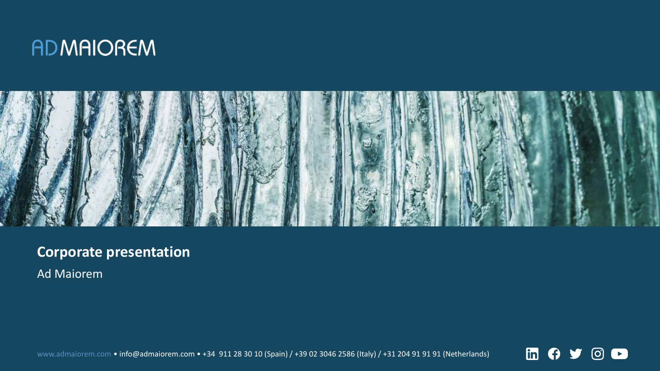## **ADMAIOREM**



## **Corporate presentation**

Ad Maiorem

www.admaiorem.com • info@admaiorem.com • +34 911 28 30 10 (Spain) / +39 02 3046 2586 (Italy) / +31 204 91 91 91 (Netherlands)

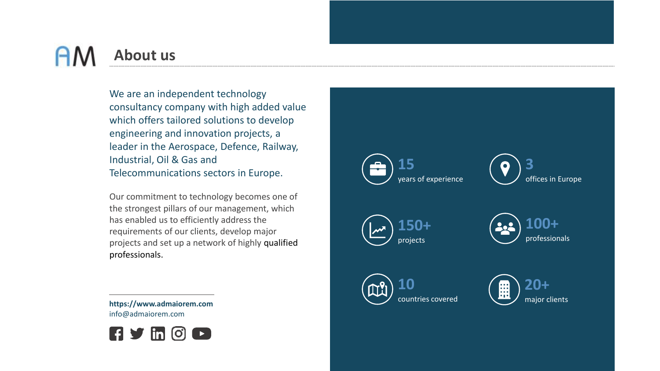## AN **About us**

We are an independent technology consultancy company with high added value which offers tailored solutions to develop engineering and innovation projects, a leader in the Aerospace, Defence, Railway, Industrial, Oil & Gas and Telecommunications sectors in Europe.

Our commitment to technology becomes one of the strongest pillars of our management, which has enabled us to efficiently address the requirements of our clients, develop major projects and set up a network of highly qualified professionals.

**https://www.admaiorem.com** info@admaiorem.com



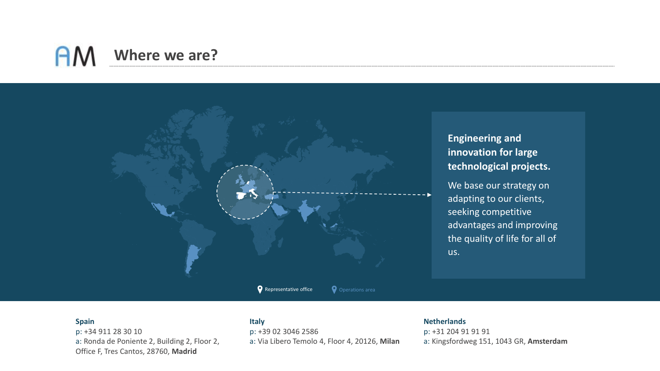#### **AM Where we are?**



**Engineering and innovation for large technological projects.** 

We base our strategy on adapting to our clients, seeking competitive advantages and improving the quality of life for all of us.

#### **Spain**

p: +34 911 28 30 10 a: Ronda de Poniente 2, Building 2, Floor 2, Office F, Tres Cantos, 28760, **Madrid**

#### **Italy**

p: +39 02 3046 2586 a: Via Libero Temolo 4, Floor 4, 20126, **Milan**

#### **Netherlands**

p: +31 204 91 91 91 a: Kingsfordweg 151, 1043 GR, **Amsterdam**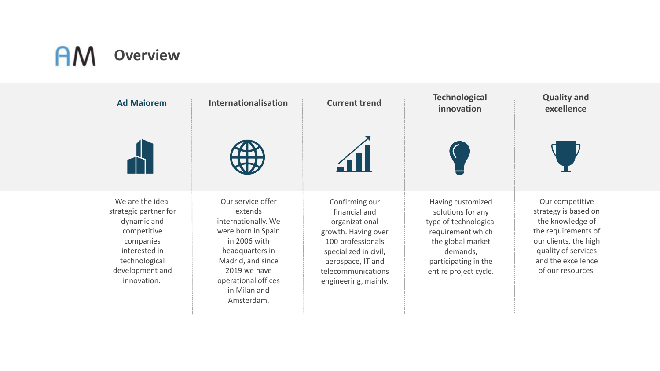## $A\Lambda$ **Overview**

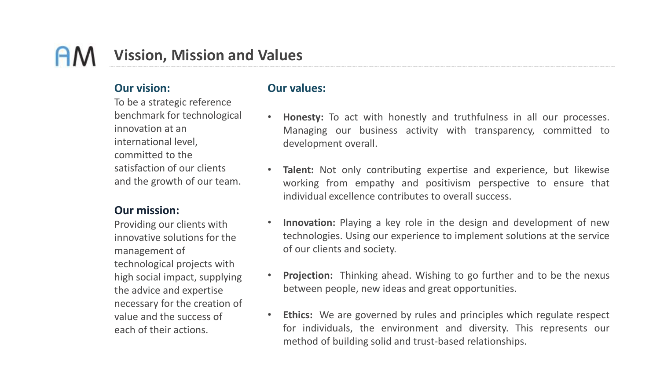## **Vission, Mission and Values**

#### **Our vision:**

To be a strategic reference benchmark for technological innovation at an international level, committed to the satisfaction of our clients and the growth of our team.

#### **Our mission:**

Providing our clients with innovative solutions for the management of technological projects with high social impact, supplying the advice and expertise necessary for the creation of value and the success of each of their actions.

#### **Our values:**

- **Honesty:** To act with honestly and truthfulness in all our processes. Managing our business activity with transparency, committed to development overall.
- **Talent:** Not only contributing expertise and experience, but likewise working from empathy and positivism perspective to ensure that individual excellence contributes to overall success.
- **Innovation:** Playing a key role in the design and development of new technologies. Using our experience to implement solutions at the service of our clients and society.
- **Projection:** Thinking ahead. Wishing to go further and to be the nexus between people, new ideas and great opportunities.
- **Ethics:** We are governed by rules and principles which regulate respect for individuals, the environment and diversity. This represents our method of building solid and trust-based relationships.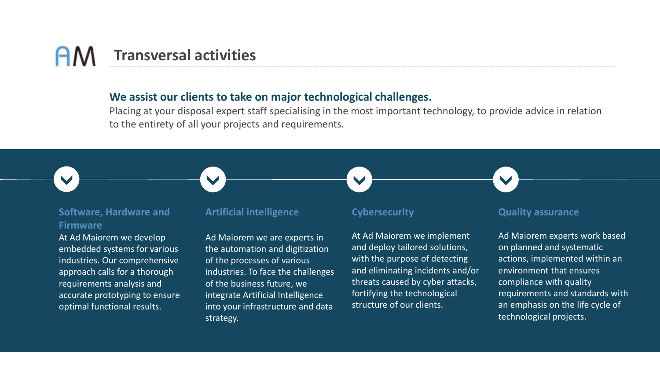# **Transversal activities**

#### **We assist our clients to take on major technological challenges.**

Placing at your disposal expert staff specialising in the most important technology, to provide advice in relation to the entirety of all your projects and requirements.

 $\overline{\phantom{a}}$ 



#### **Software, Hardware and Firmware**

At Ad Maiorem we develop embedded systems for various industries. Our comprehensive approach calls for a thorough requirements analysis and accurate prototyping to ensure optimal functional results.

#### **Artificial intelligence**

Ad Maiorem we are experts in the automation and digitization of the processes of various industries. To face the challenges of the business future, we integrate Artificial Intelligence into your infrastructure and data strategy.

#### **Cybersecurity**

At Ad Maiorem we implement and deploy tailored solutions, with the purpose of detecting and eliminating incidents and/or threats caused by cyber attacks, fortifying the technological structure of our clients.

#### **Quality assurance**

Ad Maiorem experts work based on planned and systematic actions, implemented within an environment that ensures compliance with quality requirements and standards with an emphasis on the life cycle of technological projects.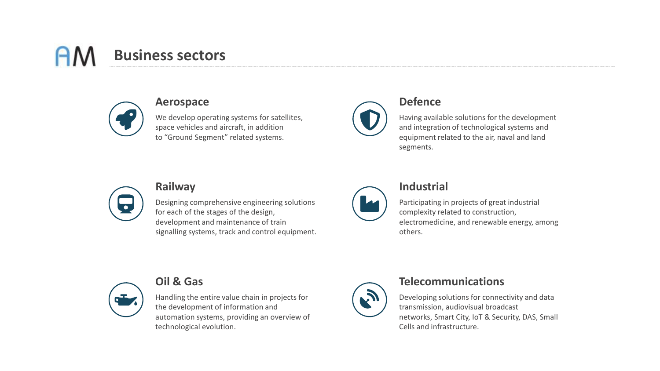# **Business sectors**



#### **Aerospace**

We develop operating systems for satellites, space vehicles and aircraft, in addition to "Ground Segment" related systems.



#### **Defence**

Having available solutions for the development and integration of technological systems and equipment related to the air, naval and land segments.



#### **Railway**

Designing comprehensive engineering solutions for each of the stages of the design, development and maintenance of train signalling systems, track and control equipment.



#### **Industrial**

Participating in projects of great industrial complexity related to construction, electromedicine, and renewable energy, among others.



### **Oil & Gas**

Handling the entire value chain in projects for the development of information and automation systems, providing an overview of technological evolution.



#### **Telecommunications**

Developing solutions for connectivity and data transmission, audiovisual broadcast networks, Smart City, IoT & Security, DAS, Small Cells and infrastructure.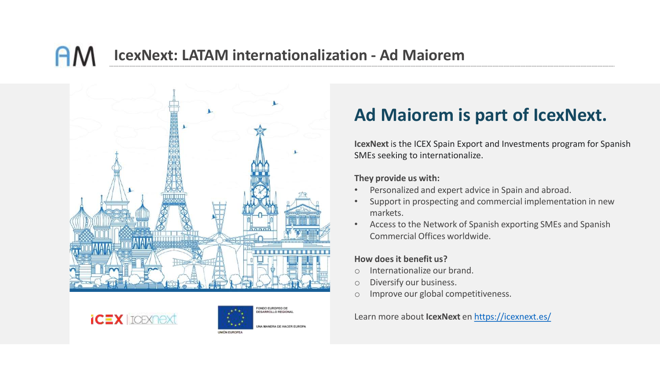#### **IcexNext: LATAM internationalization - Ad Maiorem** AΛ







## **Ad Maiorem is part of IcexNext.**

**IcexNext** is the ICEX Spain Export and Investments program for Spanish SMEs seeking to internationalize.

**They provide us with:**

- Personalized and expert advice in Spain and abroad.
- Support in prospecting and commercial implementation in new markets.
- Access to the Network of Spanish exporting SMEs and Spanish Commercial Offices worldwide.

#### **How does it benefit us?**

- o Internationalize our brand.
- o Diversify our business.
- o Improve our global competitiveness.

Learn more about **IcexNext** en <https://icexnext.es/>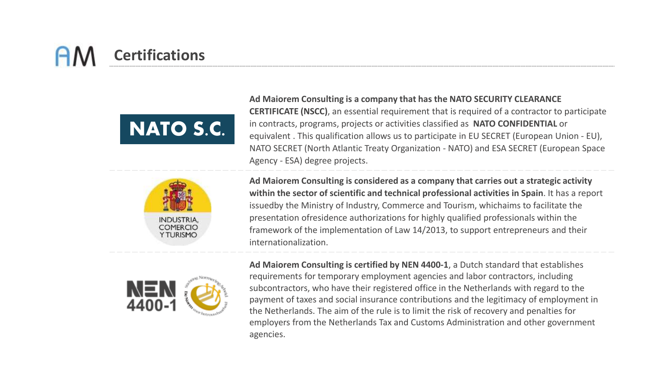# **Certifications**





**Ad Maiorem Consulting is a company that has the NATO SECURITY CLEARANCE CERTIFICATE (NSCC)**, an essential requirement that is required of a contractor to participate in contracts, programs, projects or activities classified as **NATO CONFIDENTIAL** or equivalent . This qualification allows us to participate in EU SECRET (European Union - EU), NATO SECRET (North Atlantic Treaty Organization - NATO) and ESA SECRET (European Space Agency - ESA) degree projects.

**Ad Maiorem Consulting is considered as a company that carries out a strategic activity within the sector of scientific and technical professional activities in Spain**. It has a report issuedby the Ministry of Industry, Commerce and Tourism, whichaims to facilitate the presentation ofresidence authorizations for highly qualified professionals within the framework of the implementation of Law 14/2013, to support entrepreneurs and their internationalization.



**Ad Maiorem Consulting is certified by NEN 4400-1**, a Dutch standard that establishes requirements for temporary employment agencies and labor contractors, including subcontractors, who have their registered office in the Netherlands with regard to the payment of taxes and social insurance contributions and the legitimacy of employment in the Netherlands. The aim of the rule is to limit the risk of recovery and penalties for employers from the Netherlands Tax and Customs Administration and other government agencies.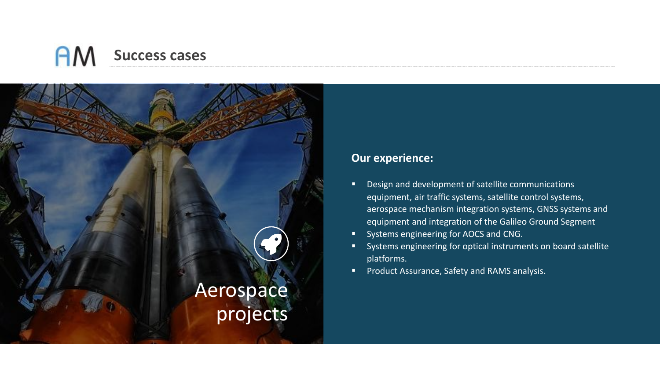

- Design and development of satellite communications equipment, air traffic systems, satellite control systems, aerospace mechanism integration systems, GNSS systems and equipment and integration of the Galileo Ground Segment
- Systems engineering for AOCS and CNG.
- Systems engineering for optical instruments on board satellite platforms.
- Product Assurance, Safety and RAMS analysis.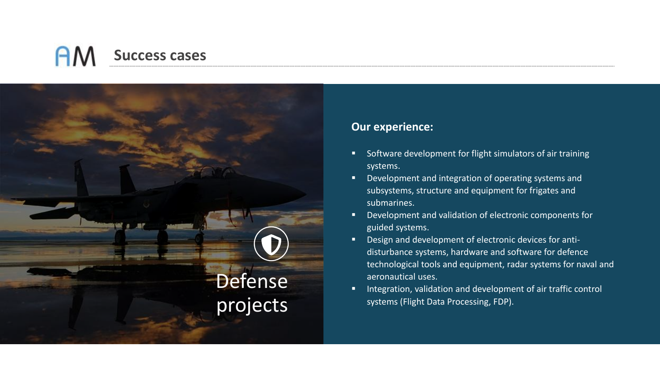

- Software development for flight simulators of air training systems.
- Development and integration of operating systems and subsystems, structure and equipment for frigates and submarines.
- Development and validation of electronic components for guided systems.
- Design and development of electronic devices for antidisturbance systems, hardware and software for defence technological tools and equipment, radar systems for naval and aeronautical uses.
- Integration, validation and development of air traffic control systems (Flight Data Processing, FDP).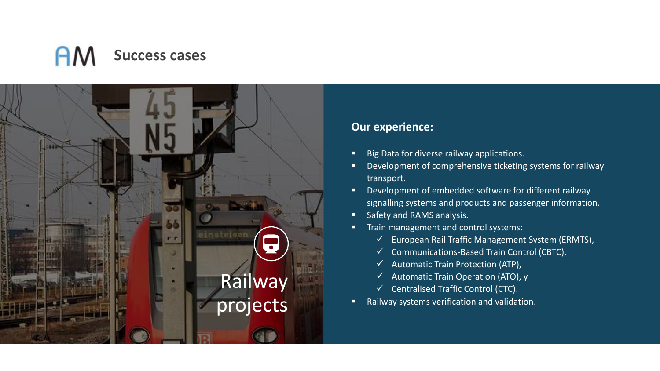

- Big Data for diverse railway applications.
- Development of comprehensive ticketing systems for railway transport.
- Development of embedded software for different railway signalling systems and products and passenger information.
- **Safety and RAMS analysis.**
- **Train management and control systems:** 
	- $\checkmark$  European Rail Traffic Management System (ERMTS),
	- ✓ Communications-Based Train Control (CBTC),
	- $\checkmark$  Automatic Train Protection (ATP),
	- $\checkmark$  Automatic Train Operation (ATO), y
	- ✓ Centralised Traffic Control (CTC).
- Railway systems verification and validation.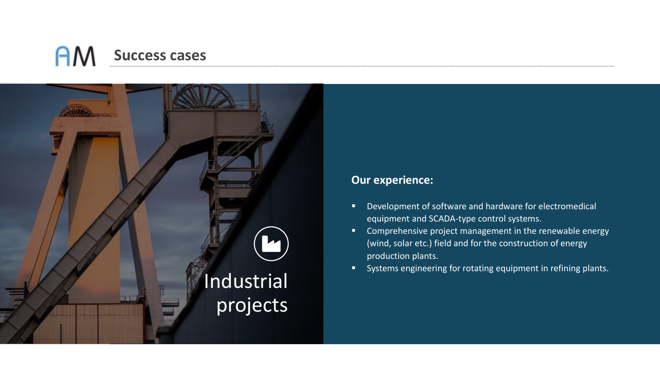

- Development of software and hardware for electromedical equipment and SCADA-type control systems.
- **E** Comprehensive project management in the renewable energy (wind, solar etc.) field and for the construction of energy production plants.
- Systems engineering for rotating equipment in refining plants.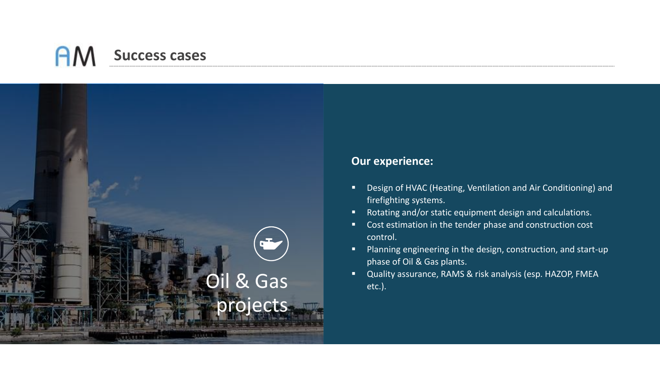

- Design of HVAC (Heating, Ventilation and Air Conditioning) and firefighting systems.
- Rotating and/or static equipment design and calculations.
- Cost estimation in the tender phase and construction cost control.
- Planning engineering in the design, construction, and start-up phase of Oil & Gas plants.
- **Oil & Gas Cas Product All Acts** analysis (esp. HAZOP, FMEA etc.).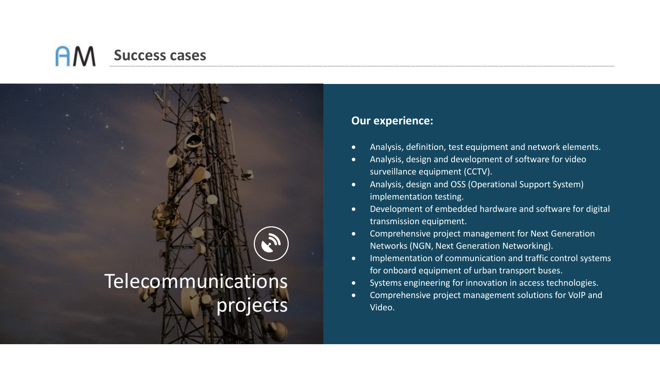

- Analysis, definition, test equipment and network elements.
- Analysis, design and development of software for video surveillance equipment (CCTV).
- Analysis, design and OSS (Operational Support System) implementation testing.
- Development of embedded hardware and software for digital transmission equipment.
- Comprehensive project management for Next Generation Networks (NGN, Next Generation Networking).
- Implementation of communication and traffic control systems for onboard equipment of urban transport buses.
- Systems engineering for innovation in access technologies.
- Comprehensive project management solutions for VoIP and Video.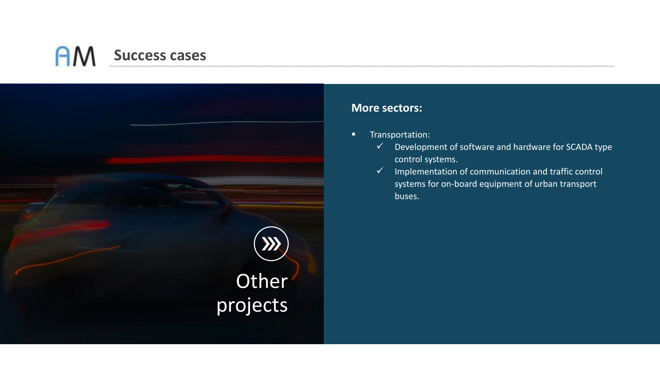

#### **More sectors:**

- **■** Transportation:
	- $\checkmark$  Development of software and hardware for SCADA type control systems.
	- ✓ Implementation of communication and traffic control systems for on-board equipment of urban transport buses.